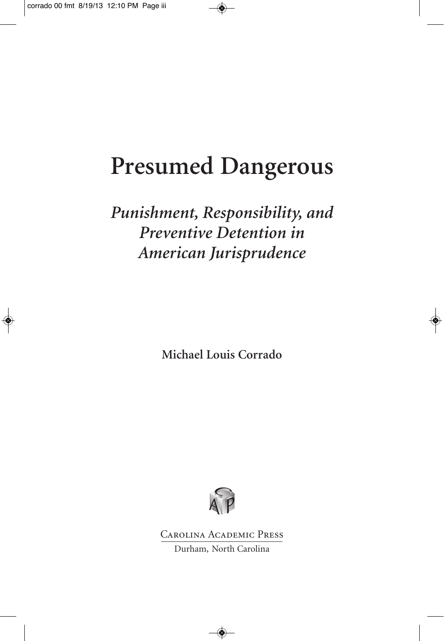♦

# **Presumed Dangerous**

*Punishment, Responsibility, and Preventive Detention in American Jurisprudence*

**Michael Louis Corrado**



Carolina Academic Press Durham, North Carolina

 $\color{green}\blacklozenge$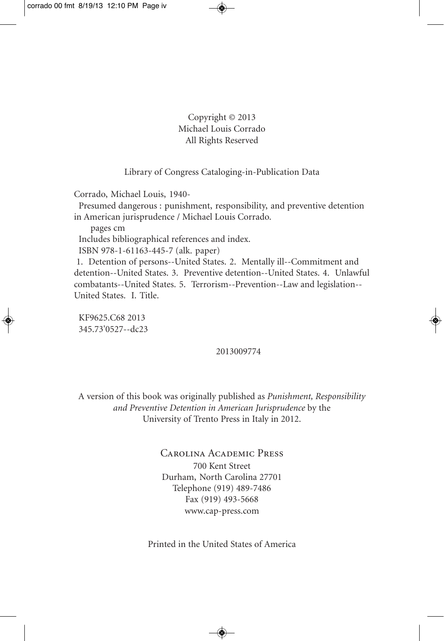Copyright © 2013 Michael Louis Corrado All Rights Reserved

#### Library of Congress Cataloging-in-Publication Data

Corrado, Michael Louis, 1940-

Presumed dangerous : punishment, responsibility, and preventive detention in American jurisprudence / Michael Louis Corrado.

pages cm

Includes bibliographical references and index.

ISBN 978-1-61163-445-7 (alk. paper)

1. Detention of persons--United States. 2. Mentally ill--Commitment and detention--United States. 3. Preventive detention--United States. 4. Unlawful combatants--United States. 5. Terrorism--Prevention--Law and legislation-- United States. I. Title.

KF9625.C68 2013 345.73'0527--dc23

#### 2013009774

A version of this book was originally published as *Punishment, Responsibility and Preventive Detention in American Jurisprudence* by the University of Trento Press in Italy in 2012.

> Carolina Academic Press 700 Kent Street Durham, North Carolina 27701 Telephone (919) 489-7486 Fax (919) 493-5668 www.cap-press.com

Printed in the United States of America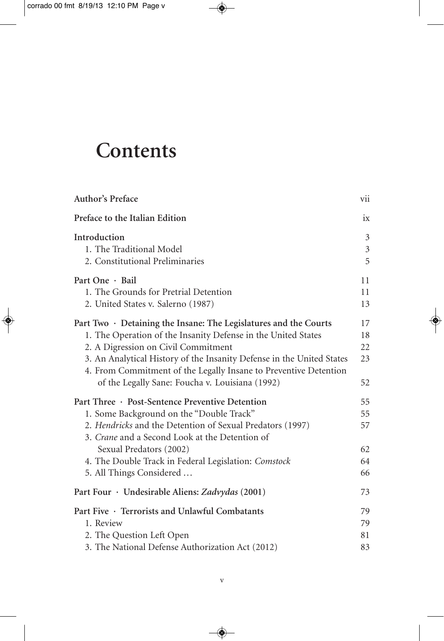$\Rightarrow$ 

## **Contents**

| Author's Preface                                                                                                                                                                                                                                                                                                                                                               | vii                              |
|--------------------------------------------------------------------------------------------------------------------------------------------------------------------------------------------------------------------------------------------------------------------------------------------------------------------------------------------------------------------------------|----------------------------------|
| Preface to the Italian Edition                                                                                                                                                                                                                                                                                                                                                 | ix                               |
| Introduction<br>1. The Traditional Model<br>2. Constitutional Preliminaries                                                                                                                                                                                                                                                                                                    | 3<br>$\mathfrak{Z}$<br>5         |
| Part One · Bail<br>1. The Grounds for Pretrial Detention<br>2. United States v. Salerno (1987)                                                                                                                                                                                                                                                                                 | 11<br>11<br>13                   |
| Part Two $\cdot$ Detaining the Insane: The Legislatures and the Courts<br>1. The Operation of the Insanity Defense in the United States<br>2. A Digression on Civil Commitment<br>3. An Analytical History of the Insanity Defense in the United States<br>4. From Commitment of the Legally Insane to Preventive Detention<br>of the Legally Sane: Foucha v. Louisiana (1992) | 17<br>18<br>22<br>23<br>52       |
| Part Three · Post-Sentence Preventive Detention<br>1. Some Background on the "Double Track"<br>2. Hendricks and the Detention of Sexual Predators (1997)<br>3. Crane and a Second Look at the Detention of<br>Sexual Predators (2002)<br>4. The Double Track in Federal Legislation: Comstock<br>5. All Things Considered                                                      | 55<br>55<br>57<br>62<br>64<br>66 |
| Part Four · Undesirable Aliens: Zadvydas (2001)                                                                                                                                                                                                                                                                                                                                | 73                               |
| Part Five · Terrorists and Unlawful Combatants<br>1. Review<br>2. The Question Left Open<br>3. The National Defense Authorization Act (2012)                                                                                                                                                                                                                                   | 79<br>79<br>81<br>83             |

 $\color{black} \blacklozenge$ 

◈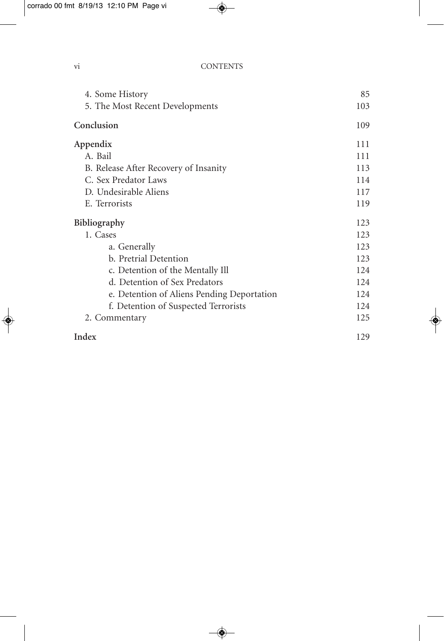$\bigcirc$ 

vi CONTENTS

♦

I

| 4. Some History                            | 85  |
|--------------------------------------------|-----|
| 5. The Most Recent Developments            | 103 |
| Conclusion                                 | 109 |
| Appendix                                   | 111 |
| A. Bail                                    | 111 |
| B. Release After Recovery of Insanity      | 113 |
| C. Sex Predator Laws                       | 114 |
| D. Undesirable Aliens                      | 117 |
| E. Terrorists                              | 119 |
| Bibliography                               | 123 |
| 1. Cases                                   | 123 |
| a. Generally                               | 123 |
| b. Pretrial Detention                      | 123 |
| c. Detention of the Mentally Ill           | 124 |
| d. Detention of Sex Predators              | 124 |
| e. Detention of Aliens Pending Deportation | 124 |
| f. Detention of Suspected Terrorists       | 124 |
| 2. Commentary                              | 125 |
| Index                                      | 129 |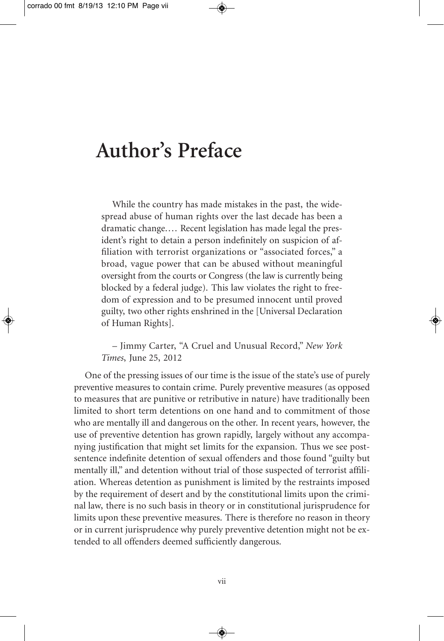## **Author's Preface**

While the country has made mistakes in the past, the widespread abuse of human rights over the last decade has been a dramatic change.... Recent legislation has made legal the president's right to detain a person indefinitely on suspicion of affiliation with terrorist organizations or "associated forces," a broad, vague power that can be abused without meaningful oversight from the courts or Congress (the law is currently being blocked by a federal judge). This law violates the right to freedom of expression and to be presumed innocent until proved guilty, two other rights enshrined in the [Universal Declaration of Human Rights].

– Jimmy Carter, "A Cruel and Unusual Record," *New York Times*, June 25, 2012

One of the pressing issues of our time is the issue of the state's use of purely preventive measures to contain crime. Purely preventive measures (as opposed to measures that are punitive or retributive in nature) have traditionally been limited to short term detentions on one hand and to commitment of those who are mentally ill and dangerous on the other. In recent years, however, the use of preventive detention has grown rapidly, largely without any accompanying justification that might set limits for the expansion. Thus we see postsentence indefinite detention of sexual offenders and those found "guilty but mentally ill," and detention without trial of those suspected of terrorist affiliation. Whereas detention as punishment is limited by the restraints imposed by the requirement of desert and by the constitutional limits upon the criminal law, there is no such basis in theory or in constitutional jurisprudence for limits upon these preventive measures. There is therefore no reason in theory or in current jurisprudence why purely preventive detention might not be extended to all offenders deemed sufficiently dangerous.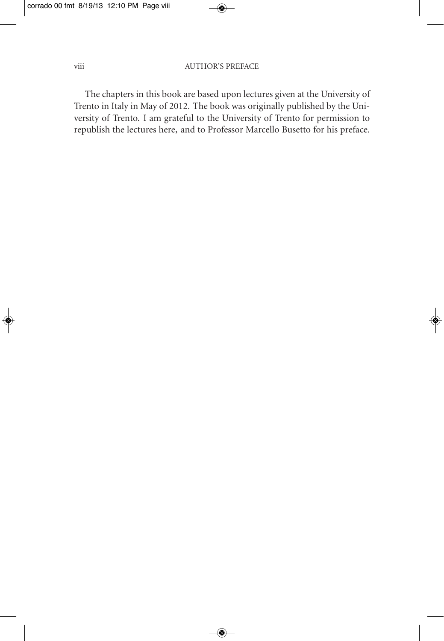♦

#### viii AUTHOR'S PREFACE

◈

The chapters in this book are based upon lectures given at the University of Trento in Italy in May of 2012. The book was originally published by the University of Trento. I am grateful to the University of Trento for permission to republish the lectures here, and to Professor Marcello Busetto for his preface.

 $\bigcirc$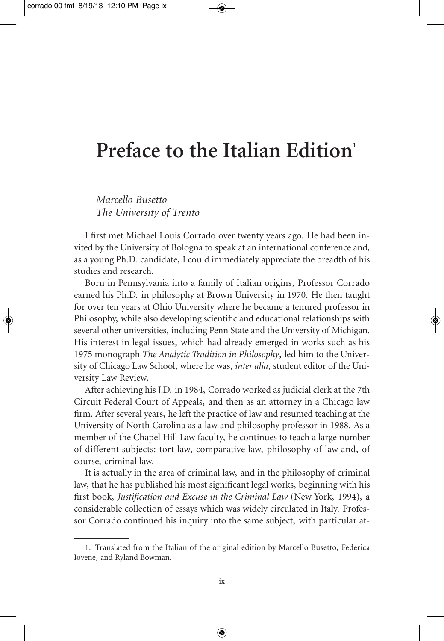### **Preface to the Italian Edition**<sup>1</sup>

*Marcello Busetto The University of Trento*

I first met Michael Louis Corrado over twenty years ago. He had been invited by the University of Bologna to speak at an international conference and, as a young Ph.D. candidate, I could immediately appreciate the breadth of his studies and research.

Born in Pennsylvania into a family of Italian origins, Professor Corrado earned his Ph.D. in philosophy at Brown University in 1970. He then taught for over ten years at Ohio University where he became a tenured professor in Philosophy, while also developing scientific and educational relationships with several other universities, including Penn State and the University of Michigan. His interest in legal issues, which had already emerged in works such as his 1975 monograph *The Analytic Tradition in Philosophy*, led him to the University of Chicago Law School, where he was, *inter alia*, student editor of the University Law Review.

After achieving his J.D. in 1984, Corrado worked as judicial clerk at the 7th Circuit Federal Court of Appeals, and then as an attorney in a Chicago law firm. After several years, he left the practice of law and resumed teaching at the University of North Carolina as a law and philosophy professor in 1988. As a member of the Chapel Hill Law faculty, he continues to teach a large number of different subjects: tort law, comparative law, philosophy of law and, of course, criminal law.

It is actually in the area of criminal law, and in the philosophy of criminal law, that he has published his most significant legal works, beginning with his first book, *Justification and Excuse in the Criminal Law* (New York, 1994), a considerable collection of essays which was widely circulated in Italy. Professor Corrado continued his inquiry into the same subject, with particular at-

<sup>1.</sup> Translated from the Italian of the original edition by Marcello Busetto, Federica Iovene, and Ryland Bowman.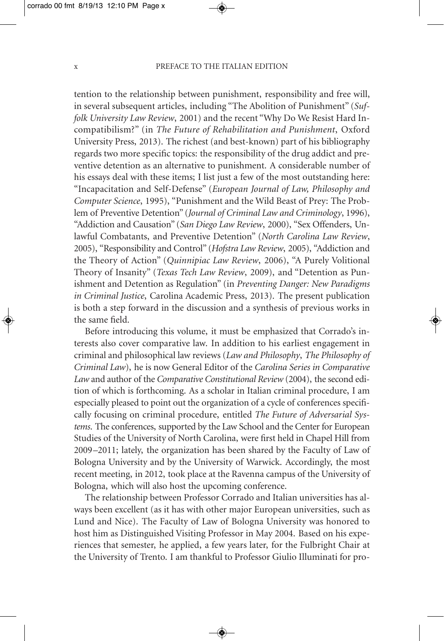#### x PREFACE TO THE ITALIAN EDITION

tention to the relationship between punishment, responsibility and free will, in several subsequent articles, including "The Abolition of Punishment" (*Suffolk University Law Review*, 2001) and the recent "Why Do We Resist Hard Incompatibilism?" (in *The Future of Rehabilitation and Punishment*, Oxford University Press, 2013). The richest (and best-known) part of his bibliography regards two more specific topics: the responsibility of the drug addict and preventive detention as an alternative to punishment. A considerable number of his essays deal with these items; I list just a few of the most outstanding here: "Incapacitation and Self-Defense" (*European Journal of Law, Philosophy and Computer Science*, 1995), "Punishment and the Wild Beast of Prey: The Problem of Preventive Detention" (*Journal of Criminal Law and Criminology*, 1996), "Addiction and Causation" (*San Diego Law Review*, 2000), "Sex Offenders, Unlawful Combatants, and Preventive Detention" (*North Carolina Law Review*, 2005), "Responsibility and Control" (*Hofstra Law Review*, 2005), "Addiction and the Theory of Action" (*Quinnipiac Law Review*, 2006), "A Purely Volitional Theory of Insanity" (*Texas Tech Law Review*, 2009), and "Detention as Punishment and Detention as Regulation" (in *Preventing Danger: New Paradigms in Criminal Justice*, Carolina Academic Press, 2013). The present publication is both a step forward in the discussion and a synthesis of previous works in the same field.

Before introducing this volume, it must be emphasized that Corrado's interests also cover comparative law. In addition to his earliest engagement in criminal and philosophical law reviews (*Law and Philosophy*, *The Philosophy of Criminal Law*), he is now General Editor of the *Carolina Series in Comparative Law* and author of the *Comparative Constitutional Review* (2004), the second edition of which is forthcoming. As a scholar in Italian criminal procedure, I am especially pleased to point out the organization of a cycle of conferences specifically focusing on criminal procedure, entitled *The Future of Adversarial Systems*. The conferences, supported by the Law School and the Center for European Studies of the University of North Carolina, were first held in Chapel Hill from 2009–2011; lately, the organization has been shared by the Faculty of Law of Bologna University and by the University of Warwick. Accordingly, the most recent meeting, in 2012, took place at the Ravenna campus of the University of Bologna, which will also host the upcoming conference.

The relationship between Professor Corrado and Italian universities has always been excellent (as it has with other major European universities, such as Lund and Nice). The Faculty of Law of Bologna University was honored to host him as Distinguished Visiting Professor in May 2004. Based on his experiences that semester, he applied, a few years later, for the Fulbright Chair at the University of Trento. I am thankful to Professor Giulio Illuminati for pro-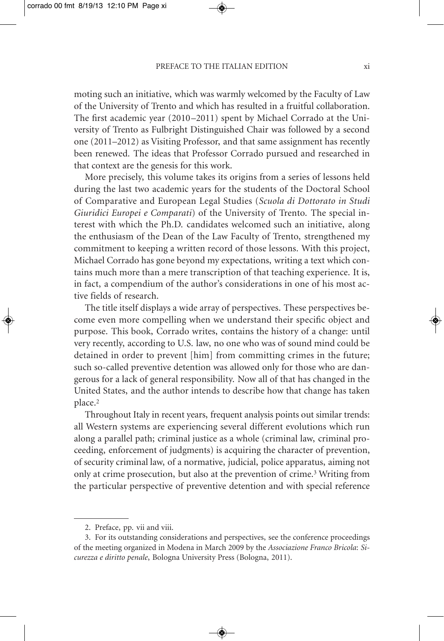#### PREFACE TO THE ITALIAN EDITION  $\overline{\mathbf{x}}$  xi

moting such an initiative, which was warmly welcomed by the Faculty of Law of the University of Trento and which has resulted in a fruitful collaboration. The first academic year (2010–2011) spent by Michael Corrado at the University of Trento as Fulbright Distinguished Chair was followed by a second one (2011–2012) as Visiting Professor, and that same assignment has recently been renewed. The ideas that Professor Corrado pursued and researched in that context are the genesis for this work.

More precisely, this volume takes its origins from a series of lessons held during the last two academic years for the students of the Doctoral School of Comparative and European Legal Studies (*Scuola di Dottorato in Studi Giuridici Europei e Comparati*) of the University of Trento. The special interest with which the Ph.D. candidates welcomed such an initiative, along the enthusiasm of the Dean of the Law Faculty of Trento, strengthened my commitment to keeping a written record of those lessons. With this project, Michael Corrado has gone beyond my expectations, writing a text which contains much more than a mere transcription of that teaching experience. It is, in fact, a compendium of the author's considerations in one of his most active fields of research.

The title itself displays a wide array of perspectives. These perspectives become even more compelling when we understand their specific object and purpose. This book, Corrado writes, contains the history of a change: until very recently, according to U.S. law, no one who was of sound mind could be detained in order to prevent [him] from committing crimes in the future; such so-called preventive detention was allowed only for those who are dangerous for a lack of general responsibility. Now all of that has changed in the United States, and the author intends to describe how that change has taken place.2

Throughout Italy in recent years, frequent analysis points out similar trends: all Western systems are experiencing several different evolutions which run along a parallel path; criminal justice as a whole (criminal law, criminal proceeding, enforcement of judgments) is acquiring the character of prevention, of security criminal law, of a normative, judicial, police apparatus, aiming not only at crime prosecution, but also at the prevention of crime.3 Writing from the particular perspective of preventive detention and with special reference

<sup>2.</sup> Preface, pp. vii and viii.

<sup>3.</sup> For its outstanding considerations and perspectives, see the conference proceedings of the meeting organized in Modena in March 2009 by the *Associazione Franco Bricola*: *Sicurezza e diritto penale*, Bologna University Press (Bologna, 2011).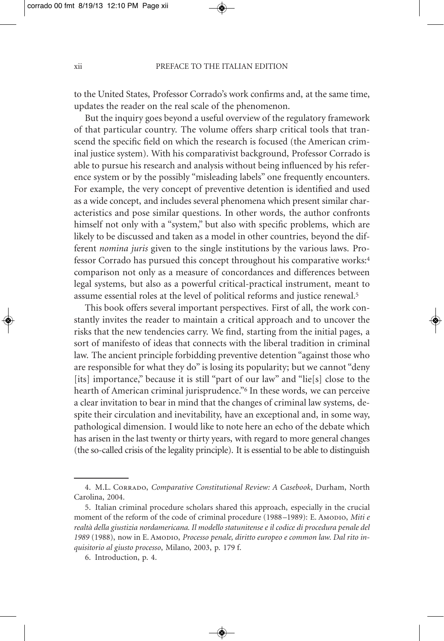#### xii PREFACE TO THE ITALIAN EDITION

to the United States, Professor Corrado's work confirms and, at the same time, updates the reader on the real scale of the phenomenon.

But the inquiry goes beyond a useful overview of the regulatory framework of that particular country. The volume offers sharp critical tools that transcend the specific field on which the research is focused (the American criminal justice system). With his comparativist background, Professor Corrado is able to pursue his research and analysis without being influenced by his reference system or by the possibly "misleading labels" one frequently encounters. For example, the very concept of preventive detention is identified and used as a wide concept, and includes several phenomena which present similar characteristics and pose similar questions. In other words, the author confronts himself not only with a "system," but also with specific problems, which are likely to be discussed and taken as a model in other countries, beyond the different *nomina juris* given to the single institutions by the various laws. Professor Corrado has pursued this concept throughout his comparative works:4 comparison not only as a measure of concordances and differences between legal systems, but also as a powerful critical-practical instrument, meant to assume essential roles at the level of political reforms and justice renewal.5

This book offers several important perspectives. First of all, the work constantly invites the reader to maintain a critical approach and to uncover the risks that the new tendencies carry. We find, starting from the initial pages, a sort of manifesto of ideas that connects with the liberal tradition in criminal law. The ancient principle forbidding preventive detention "against those who are responsible for what they do" is losing its popularity; but we cannot "deny [its] importance," because it is still "part of our law" and "lie[s] close to the hearth of American criminal jurisprudence."<sup>6</sup> In these words, we can perceive a clear invitation to bear in mind that the changes of criminal law systems, despite their circulation and inevitability, have an exceptional and, in some way, pathological dimension. I would like to note here an echo of the debate which has arisen in the last twenty or thirty years, with regard to more general changes (the so-called crisis of the legality principle). It is essential to be able to distinguish

<sup>4.</sup> M.L. Corrado, *Comparative Constitutional Review: A Casebook*, Durham, North Carolina, 2004.

<sup>5.</sup> Italian criminal procedure scholars shared this approach, especially in the crucial moment of the reform of the code of criminal procedure (1988–1989): E. AmoDIO, *Miti e realtà della giustizia nordamericana. Il modello statunitense e il codice di procedura penale del* 1989 (1988), now in E. Amopio, *Processo penale, diritto europeo e common law. Dal rito inquisitorio al giusto processo*, Milano, 2003, p. 179 f.

<sup>6.</sup> Introduction, p. 4.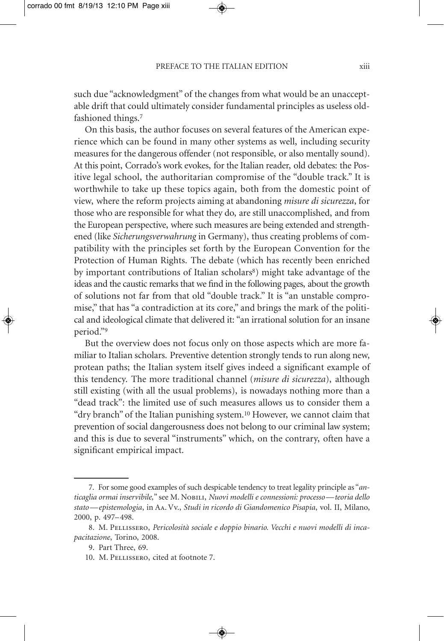PREFACE TO THE ITALIAN EDITION xiii

such due "acknowledgment" of the changes from what would be an unacceptable drift that could ultimately consider fundamental principles as useless oldfashioned things.7

On this basis, the author focuses on several features of the American experience which can be found in many other systems as well, including security measures for the dangerous offender (not responsible, or also mentally sound). At this point, Corrado's work evokes, for the Italian reader, old debates: the Positive legal school, the authoritarian compromise of the "double track." It is worthwhile to take up these topics again, both from the domestic point of view, where the reform projects aiming at abandoning *misure di sicurezza*, for those who are responsible for what they do, are still unaccomplished, and from the European perspective, where such measures are being extended and strengthened (like *Sicherungsverwahrung* in Germany), thus creating problems of compatibility with the principles set forth by the European Convention for the Protection of Human Rights. The debate (which has recently been enriched by important contributions of Italian scholars<sup>8</sup>) might take advantage of the ideas and the caustic remarks that we find in the following pages, about the growth of solutions not far from that old "double track." It is "an unstable compromise," that has "a contradiction at its core," and brings the mark of the political and ideological climate that delivered it: "an irrational solution for an insane period."9

But the overview does not focus only on those aspects which are more familiar to Italian scholars. Preventive detention strongly tends to run along new, protean paths; the Italian system itself gives indeed a significant example of this tendency. The more traditional channel (*misure di sicurezza*), although still existing (with all the usual problems), is nowadays nothing more than a "dead track": the limited use of such measures allows us to consider them a "dry branch" of the Italian punishing system.10 However, we cannot claim that prevention of social dangerousness does not belong to our criminal law system; and this is due to several "instruments" which, on the contrary, often have a significant empirical impact.

<sup>7.</sup> For some good examples of such despicable tendency to treat legality principle as "*anticaglia ormai inservibile,*" see M. Nobili, *Nuovi modelli e connessioni: processo— teoria dello stato— epistemologia*, in Aa. Vv., *Studi in ricordo di Giandomenico Pisapia*, vol. II, Milano, 2000, p. 497– 498.

<sup>8.</sup> M. Pellissero, *Pericolosità sociale e doppio binario. Vecchi e nuovi modelli di incapacitazione*, Torino, 2008.

<sup>9.</sup> Part Three, 69.

<sup>10.</sup> M. Pellissero, cited at footnote 7.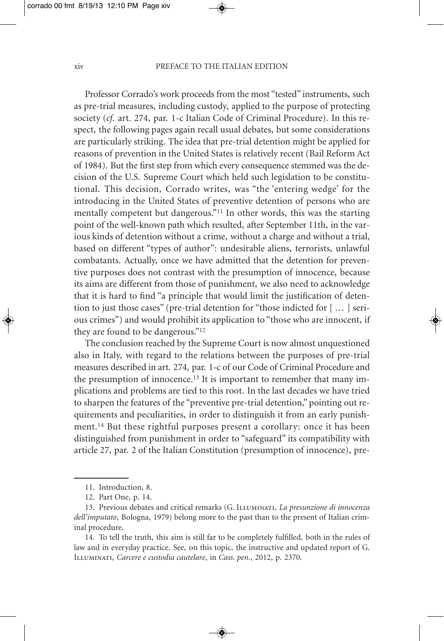#### xiv PREFACE TO THE ITALIAN EDITION

Professor Corrado's work proceeds from the most "tested" instruments, such as pre-trial measures, including custody, applied to the purpose of protecting society (*cf*. art. 274, par. 1-c Italian Code of Criminal Procedure). In this respect, the following pages again recall usual debates, but some considerations are particularly striking. The idea that pre-trial detention might be applied for reasons of prevention in the United States is relatively recent (Bail Reform Act of 1984). But the first step from which every consequence stemmed was the decision of the U.S. Supreme Court which held such legislation to be constitutional. This decision, Corrado writes, was "the 'entering wedge' for the introducing in the United States of preventive detention of persons who are mentally competent but dangerous."11 In other words, this was the starting point of the well-known path which resulted, after September 11th, in the various kinds of detention without a crime, without a charge and without a trial, based on different "types of author": undesirable aliens, terrorists, unlawful combatants. Actually, once we have admitted that the detention for preventive purposes does not contrast with the presumption of innocence, because its aims are different from those of punishment, we also need to acknowledge that it is hard to find "a principle that would limit the justification of detention to just those cases" (pre-trial detention for "those indicted for [ ... ] serious crimes") and would prohibit its application to "those who are innocent, if they are found to be dangerous."12

The conclusion reached by the Supreme Court is now almost unquestioned also in Italy, with regard to the relations between the purposes of pre-trial measures described in art. 274, par. 1-c of our Code of Criminal Procedure and the presumption of innocence.13 It is important to remember that many implications and problems are tied to this root. In the last decades we have tried to sharpen the features of the "preventive pre-trial detention," pointing out requirements and peculiarities, in order to distinguish it from an early punishment.14 But these rightful purposes present a corollary: once it has been distinguished from punishment in order to "safeguard" its compatibility with article 27, par. 2 of the Italian Constitution (presumption of innocence), pre-

<sup>11.</sup> Introduction, 8.

<sup>12.</sup> Part One, p. 14.

<sup>13.</sup> Previous debates and critical remarks (G. Illuminati, *La presunzione di innocenza dell'imputato*, Bologna, 1979) belong more to the past than to the present of Italian criminal procedure.

<sup>14.</sup> To tell the truth, this aim is still far to be completely fulfilled, both in the rules of law and in everyday practice. See, on this topic, the instructive and updated report of G. Illuminati, *Carcere e custodia cautelare*, in *Cass. pen.*, 2012, p. 2370.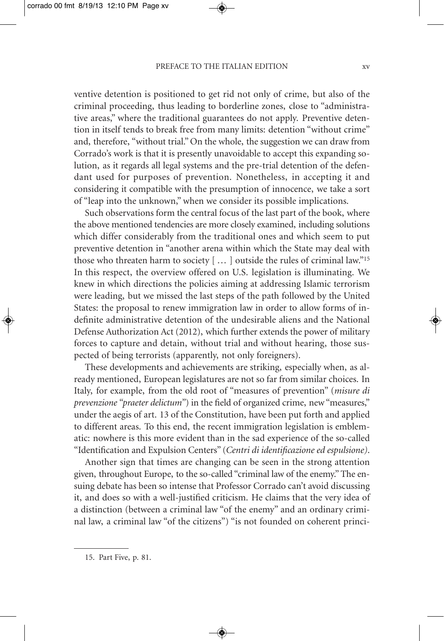#### PREFACE TO THE ITALIAN EDITION XV

ventive detention is positioned to get rid not only of crime, but also of the criminal proceeding, thus leading to borderline zones, close to "administrative areas," where the traditional guarantees do not apply. Preventive detention in itself tends to break free from many limits: detention "without crime" and, therefore, "without trial." On the whole, the suggestion we can draw from Corrado's work is that it is presently unavoidable to accept this expanding solution, as it regards all legal systems and the pre-trial detention of the defendant used for purposes of prevention. Nonetheless, in accepting it and considering it compatible with the presumption of innocence, we take a sort of "leap into the unknown," when we consider its possible implications.

Such observations form the central focus of the last part of the book, where the above mentioned tendencies are more closely examined, including solutions which differ considerably from the traditional ones and which seem to put preventive detention in "another arena within which the State may deal with those who threaten harm to society [ ... ] outside the rules of criminal law."15 In this respect, the overview offered on U.S. legislation is illuminating. We knew in which directions the policies aiming at addressing Islamic terrorism were leading, but we missed the last steps of the path followed by the United States: the proposal to renew immigration law in order to allow forms of indefinite administrative detention of the undesirable aliens and the National Defense Authorization Act (2012), which further extends the power of military forces to capture and detain, without trial and without hearing, those suspected of being terrorists (apparently, not only foreigners).

These developments and achievements are striking, especially when, as already mentioned, European legislatures are not so far from similar choices. In Italy, for example, from the old root of "measures of prevention" (*misure di prevenzione "praeter delictum"*) in the field of organized crime, new "measures," under the aegis of art. 13 of the Constitution, have been put forth and applied to different areas. To this end, the recent immigration legislation is emblematic: nowhere is this more evident than in the sad experience of the so-called "Identification and Expulsion Centers" (*Centri di identificazione ed espulsione)*.

Another sign that times are changing can be seen in the strong attention given, throughout Europe, to the so-called "criminal law of the enemy." The ensuing debate has been so intense that Professor Corrado can't avoid discussing it, and does so with a well-justified criticism. He claims that the very idea of a distinction (between a criminal law "of the enemy" and an ordinary criminal law, a criminal law "of the citizens") "is not founded on coherent princi-

◈

15. Part Five, p. 81.